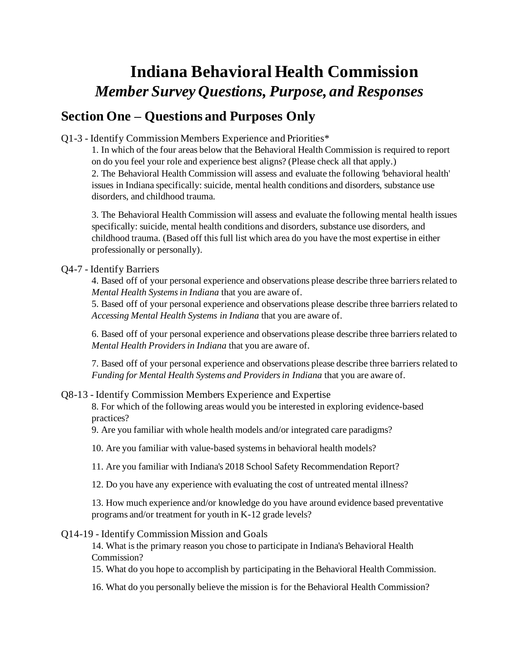# **Indiana Behavioral Health Commission** *Member Survey Questions, Purpose, and Responses*

# **Section One – Questions and Purposes Only**

### Q1-3 - Identify Commission Members Experience and Priorities\*

1. In which of the four areas below that the Behavioral Health Commission is required to report on do you feel your role and experience best aligns? (Please check all that apply.)

2. The Behavioral Health Commission will assess and evaluate the following 'behavioral health' issues in Indiana specifically: suicide, mental health conditions and disorders, substance use disorders, and childhood trauma.

3. The Behavioral Health Commission will assess and evaluate the following mental health issues specifically: suicide, mental health conditions and disorders, substance use disorders, and childhood trauma. (Based off this full list which area do you have the most expertise in either professionally or personally).

# Q4-7 - Identify Barriers

4. Based off of your personal experience and observations please describe three barriers related to *Mental Health Systems in Indiana* that you are aware of.

5. Based off of your personal experience and observations please describe three barriers related to *Accessing Mental Health Systems in Indiana* that you are aware of.

6. Based off of your personal experience and observations please describe three barriers related to *Mental Health Providers in Indiana* that you are aware of.

7. Based off of your personal experience and observations please describe three barriers related to *Funding for Mental Health Systems and Providers in Indiana* that you are aware of.

# Q8-13 - Identify Commission Members Experience and Expertise

8. For which of the following areas would you be interested in exploring evidence-based practices?

9. Are you familiar with whole health models and/or integrated care paradigms?

10. Are you familiar with value-based systems in behavioral health models?

11. Are you familiar with Indiana's 2018 School Safety Recommendation Report?

12. Do you have any experience with evaluating the cost of untreated mental illness?

13. How much experience and/or knowledge do you have around evidence based preventative programs and/or treatment for youth in K-12 grade levels?

#### Q14-19 - Identify Commission Mission and Goals

14. What is the primary reason you chose to participate in Indiana's Behavioral Health Commission?

15. What do you hope to accomplish by participating in the Behavioral Health Commission.

16. What do you personally believe the mission is for the Behavioral Health Commission?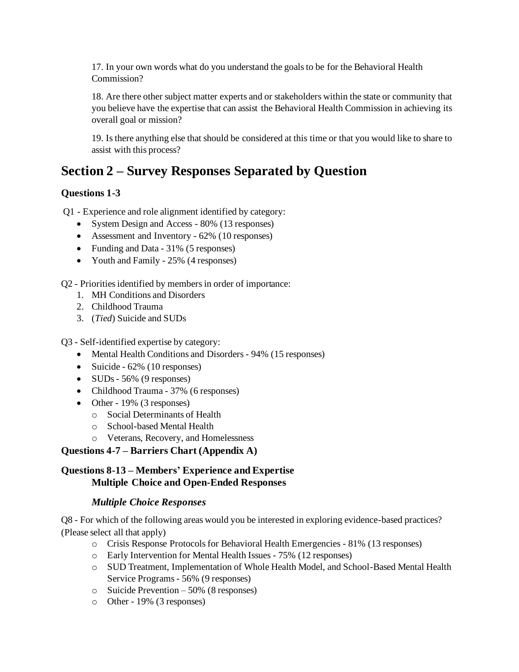17. In your own words what do you understand the goals to be for the Behavioral Health Commission?

18. Are there other subject matter experts and or stakeholders within the state or community that you believe have the expertise that can assist the Behavioral Health Commission in achieving its overall goal or mission?

19. Is there anything else that should be considered at this time or that you would like to share to assist with this process?

# **Section 2 – Survey Responses Separated by Question**

# **Questions 1-3**

Q1 - Experience and role alignment identified by category:

- System Design and Access 80% (13 responses)
- Assessment and Inventory 62% (10 responses)
- Funding and Data 31% (5 responses)
- Youth and Family 25% (4 responses)

Q2 - Priorities identified by members in order of importance:

- 1. MH Conditions and Disorders
- 2. Childhood Trauma
- 3. (*Tied*) Suicide and SUDs

Q3 - Self-identified expertise by category:

- Mental Health Conditions and Disorders 94% (15 responses)
- Suicide 62% (10 responses)
- SUDs  $56\%$  (9 responses)
- Childhood Trauma 37% (6 responses)
- Other 19% (3 responses)
	- o Social Determinants of Health
	- o School-based Mental Health
	- o Veterans, Recovery, and Homelessness

#### **Questions 4-7 – Barriers Chart (Appendix A)**

#### **Questions 8-13 – Members' Experience and Expertise Multiple Choice and Open-Ended Responses**

#### *Multiple Choice Responses*

Q8 - For which of the following areas would you be interested in exploring evidence-based practices? (Please select all that apply)

- o Crisis Response Protocols for Behavioral Health Emergencies 81% (13 responses)
- o Early Intervention for Mental Health Issues 75% (12 responses)
- o SUD Treatment, Implementation of Whole Health Model, and School-Based Mental Health Service Programs - 56% (9 responses)
- o Suicide Prevention 50% (8 responses)
- o Other 19% (3 responses)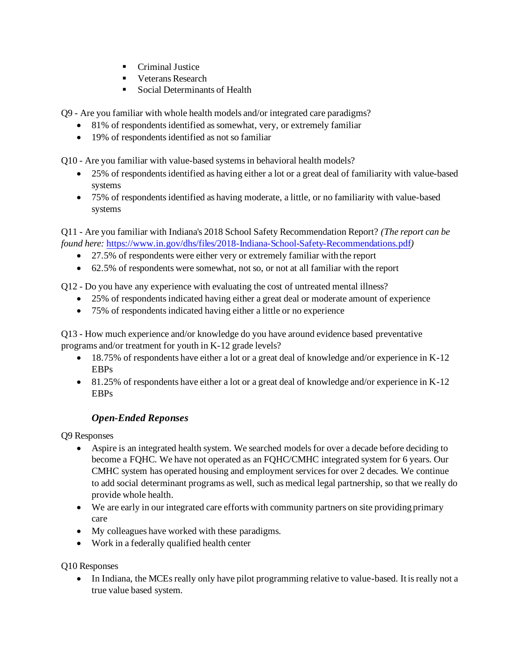- **•** Criminal Justice
- Veterans Research
- Social Determinants of Health

Q9 - Are you familiar with whole health models and/or integrated care paradigms?

- 81% of respondents identified as somewhat, very, or extremely familiar
- 19% of respondents identified as not so familiar

Q10 - Are you familiar with value-based systems in behavioral health models?

- 25% of respondents identified as having either a lot or a great deal of familiarity with value-based systems
- 75% of respondents identified as having moderate, a little, or no familiarity with value-based systems

Q11 - Are you familiar with Indiana's 2018 School Safety Recommendation Report? *(The report can be found here:* <https://www.in.gov/dhs/files/2018-Indiana-School-Safety-Recommendations.pdf>*)*

- 27.5% of respondents were either very or extremely familiar with the report
- 62.5% of respondents were somewhat, not so, or not at all familiar with the report

Q12 - Do you have any experience with evaluating the cost of untreated mental illness?

- 25% of respondents indicated having either a great deal or moderate amount of experience
- 75% of respondents indicated having either a little or no experience

Q13 - How much experience and/or knowledge do you have around evidence based preventative programs and/or treatment for youth in K-12 grade levels?

- 18.75% of respondents have either a lot or a great deal of knowledge and/or experience in K-12 EBPs
- 81.25% of respondents have either a lot or a great deal of knowledge and/or experience in K-12 EBPs

# *Open-Ended Reponses*

Q9 Responses

- Aspire is an integrated health system. We searched models for over a decade before deciding to become a FQHC. We have not operated as an FQHC/CMHC integrated system for 6 years. Our CMHC system has operated housing and employment services for over 2 decades. We continue to add social determinant programs as well, such as medical legal partnership, so that we really do provide whole health.
- We are early in our integrated care efforts with community partners on site providing primary care
- My colleagues have worked with these paradigms.
- Work in a federally qualified health center

Q10 Responses

• In Indiana, the MCEs really only have pilot programming relative to value-based. It is really not a true value based system.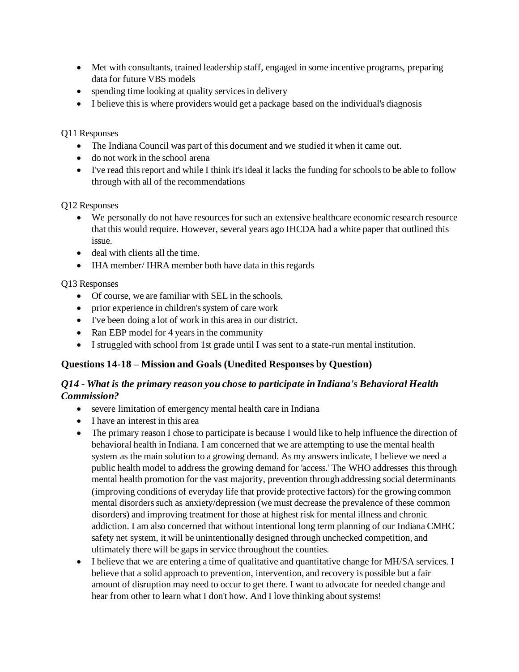- Met with consultants, trained leadership staff, engaged in some incentive programs, preparing data for future VBS models
- spending time looking at quality services in delivery
- I believe this is where providers would get a package based on the individual's diagnosis

Q11 Responses

- The Indiana Council was part of this document and we studied it when it came out.
- do not work in the school arena
- I've read this report and while I think it's ideal it lacks the funding for schools to be able to follow through with all of the recommendations

Q12 Responses

- We personally do not have resources for such an extensive healthcare economic research resource that this would require. However, several years ago IHCDA had a white paper that outlined this issue.
- deal with clients all the time.
- IHA member/ IHRA member both have data in this regards

#### Q13 Responses

- Of course, we are familiar with SEL in the schools.
- prior experience in children's system of care work
- I've been doing a lot of work in this area in our district.
- Ran EBP model for 4 years in the community
- I struggled with school from 1st grade until I was sent to a state-run mental institution.

#### **Questions 14-18 – Mission and Goals (Unedited Responses by Question)**

#### *Q14 - What is the primary reason you chose to participate in Indiana's Behavioral Health Commission?*

- severe limitation of emergency mental health care in Indiana
- I have an interest in this area
- The primary reason I chose to participate is because I would like to help influence the direction of behavioral health in Indiana. I am concerned that we are attempting to use the mental health system as the main solution to a growing demand. As my answers indicate, I believe we need a public health model to address the growing demand for 'access.' The WHO addresses this through mental health promotion for the vast majority, prevention through addressing social determinants (improving conditions of everyday life that provide protective factors) for the growing common mental disorders such as anxiety/depression (we must decrease the prevalence of these common disorders) and improving treatment for those at highest risk for mental illness and chronic addiction. I am also concerned that without intentional long term planning of our Indiana CMHC safety net system, it will be unintentionally designed through unchecked competition, and ultimately there will be gaps in service throughout the counties.
- I believe that we are entering a time of qualitative and quantitative change for MH/SA services. I believe that a solid approach to prevention, intervention, and recovery is possible but a fair amount of disruption may need to occur to get there. I want to advocate for needed change and hear from other to learn what I don't how. And I love thinking about systems!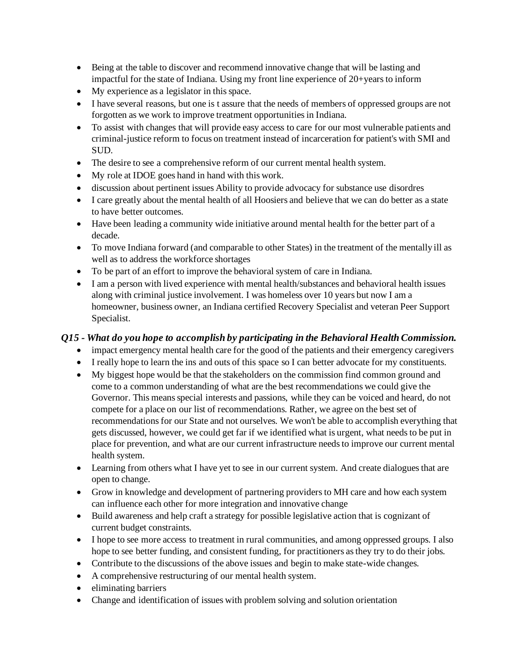- Being at the table to discover and recommend innovative change that will be lasting and impactful for the state of Indiana. Using my front line experience of 20+years to inform
- My experience as a legislator in this space.
- I have several reasons, but one is t assure that the needs of members of oppressed groups are not forgotten as we work to improve treatment opportunities in Indiana.
- To assist with changes that will provide easy access to care for our most vulnerable patients and criminal-justice reform to focus on treatment instead of incarceration for patient's with SMI and SUD.
- The desire to see a comprehensive reform of our current mental health system.
- My role at IDOE goes hand in hand with this work.
- discussion about pertinent issues Ability to provide advocacy for substance use disordres
- I care greatly about the mental health of all Hoosiers and believe that we can do better as a state to have better outcomes.
- Have been leading a community wide initiative around mental health for the better part of a decade.
- To move Indiana forward (and comparable to other States) in the treatment of the mentally ill as well as to address the workforce shortages
- To be part of an effort to improve the behavioral system of care in Indiana.
- I am a person with lived experience with mental health/substances and behavioral health issues along with criminal justice involvement. I was homeless over 10 years but now I am a homeowner, business owner, an Indiana certified Recovery Specialist and veteran Peer Support Specialist.

# *Q15 - What do you hope to accomplish by participating in the Behavioral Health Commission.*

- impact emergency mental health care for the good of the patients and their emergency caregivers
- I really hope to learn the ins and outs of this space so I can better advocate for my constituents.
- My biggest hope would be that the stakeholders on the commission find common ground and come to a common understanding of what are the best recommendations we could give the Governor. This means special interests and passions, while they can be voiced and heard, do not compete for a place on our list of recommendations. Rather, we agree on the best set of recommendations for our State and not ourselves. We won't be able to accomplish everything that gets discussed, however, we could get far if we identified what is urgent, what needs to be put in place for prevention, and what are our current infrastructure needs to improve our current mental health system.
- Learning from others what I have yet to see in our current system. And create dialogues that are open to change.
- Grow in knowledge and development of partnering providers to MH care and how each system can influence each other for more integration and innovative change
- Build awareness and help craft a strategy for possible legislative action that is cognizant of current budget constraints.
- I hope to see more access to treatment in rural communities, and among oppressed groups. I also hope to see better funding, and consistent funding, for practitioners as they try to do their jobs.
- Contribute to the discussions of the above issues and begin to make state-wide changes.
- A comprehensive restructuring of our mental health system.
- eliminating barriers
- Change and identification of issues with problem solving and solution orientation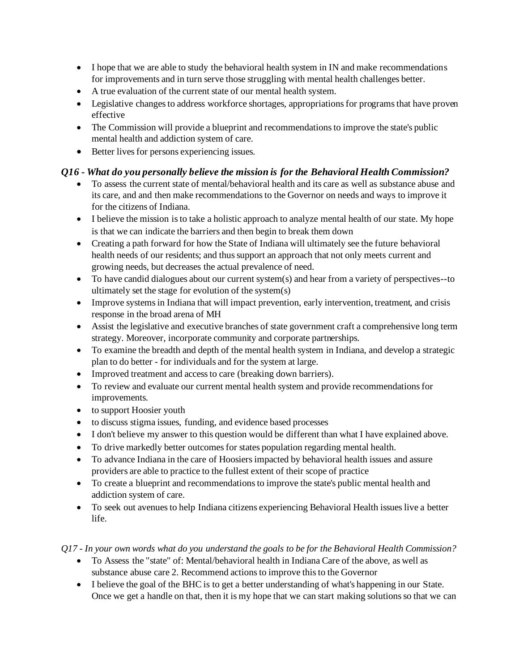- I hope that we are able to study the behavioral health system in IN and make recommendations for improvements and in turn serve those struggling with mental health challenges better.
- A true evaluation of the current state of our mental health system.
- Legislative changes to address workforce shortages, appropriations for programs that have proven effective
- The Commission will provide a blueprint and recommendations to improve the state's public mental health and addiction system of care.
- Better lives for persons experiencing issues.

# *Q16 - What do you personally believe the mission is for the Behavioral Health Commission?*

- To assess the current state of mental/behavioral health and its care as well as substance abuse and its care, and and then make recommendations to the Governor on needs and ways to improve it for the citizens of Indiana.
- I believe the mission is to take a holistic approach to analyze mental health of our state. My hope is that we can indicate the barriers and then begin to break them down
- Creating a path forward for how the State of Indiana will ultimately see the future behavioral health needs of our residents; and thus support an approach that not only meets current and growing needs, but decreases the actual prevalence of need.
- To have candid dialogues about our current system(s) and hear from a variety of perspectives--to ultimately set the stage for evolution of the system(s)
- Improve systems in Indiana that will impact prevention, early intervention, treatment, and crisis response in the broad arena of MH
- Assist the legislative and executive branches of state government craft a comprehensive long term strategy. Moreover, incorporate community and corporate partnerships.
- To examine the breadth and depth of the mental health system in Indiana, and develop a strategic plan to do better - for individuals and for the system at large.
- Improved treatment and access to care (breaking down barriers).
- To review and evaluate our current mental health system and provide recommendations for improvements.
- to support Hoosier youth
- to discuss stigma issues, funding, and evidence based processes
- I don't believe my answer to this question would be different than what I have explained above.
- To drive markedly better outcomes for states population regarding mental health.
- To advance Indiana in the care of Hoosiers impacted by behavioral health issues and assure providers are able to practice to the fullest extent of their scope of practice
- To create a blueprint and recommendations to improve the state's public mental health and addiction system of care.
- To seek out avenues to help Indiana citizens experiencing Behavioral Health issues live a better life.

# *Q17 - In your own words what do you understand the goals to be for the Behavioral Health Commission?*

- To Assess the "state" of: Mental/behavioral health in Indiana Care of the above, as well as substance abuse care 2. Recommend actions to improve this to the Governor
- I believe the goal of the BHC is to get a better understanding of what's happening in our State. Once we get a handle on that, then it is my hope that we can start making solutions so that we can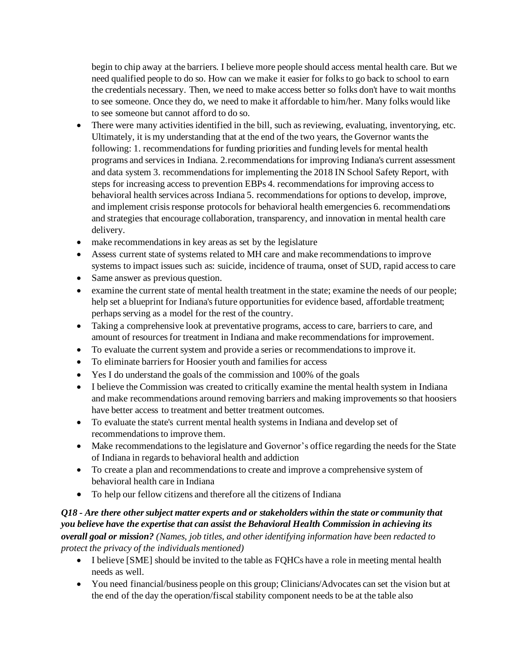begin to chip away at the barriers. I believe more people should access mental health care. But we need qualified people to do so. How can we make it easier for folks to go back to school to earn the credentials necessary. Then, we need to make access better so folks don't have to wait months to see someone. Once they do, we need to make it affordable to him/her. Many folks would like to see someone but cannot afford to do so.

- There were many activities identified in the bill, such as reviewing, evaluating, inventorying, etc. Ultimately, it is my understanding that at the end of the two years, the Governor wants the following: 1. recommendations for funding priorities and funding levels for mental health programs and services in Indiana. 2.recommendations for improving Indiana's current assessment and data system 3. recommendations for implementing the 2018 IN School Safety Report, with steps for increasing access to prevention EBPs 4. recommendations for improving access to behavioral health services across Indiana 5. recommendations for options to develop, improve, and implement crisis response protocols for behavioral health emergencies 6. recommendations and strategies that encourage collaboration, transparency, and innovation in mental health care delivery.
- make recommendations in key areas as set by the legislature
- Assess current state of systems related to MH care and make recommendations to improve systems to impact issues such as: suicide, incidence of trauma, onset of SUD, rapid access to care
- Same answer as previous question.
- examine the current state of mental health treatment in the state; examine the needs of our people; help set a blueprint for Indiana's future opportunities for evidence based, affordable treatment; perhaps serving as a model for the rest of the country.
- Taking a comprehensive look at preventative programs, access to care, barriers to care, and amount of resources for treatment in Indiana and make recommendations for improvement.
- To evaluate the current system and provide a series or recommendations to improve it.
- To eliminate barriers for Hoosier youth and families for access
- Yes I do understand the goals of the commission and 100% of the goals
- I believe the Commission was created to critically examine the mental health system in Indiana and make recommendations around removing barriers and making improvements so that hoosiers have better access to treatment and better treatment outcomes.
- To evaluate the state's current mental health systems in Indiana and develop set of recommendations to improve them.
- Make recommendations to the legislature and Governor's office regarding the needs for the State of Indiana in regards to behavioral health and addiction
- To create a plan and recommendations to create and improve a comprehensive system of behavioral health care in Indiana
- To help our fellow citizens and therefore all the citizens of Indiana

#### *Q18 - Are there other subject matter experts and or stakeholders within the state or community that you believe have the expertise that can assist the Behavioral Health Commission in achieving its overall goal or mission? (Names, job titles, and other identifying information have been redacted to protect the privacy of the individuals mentioned)*

- I believe [SME] should be invited to the table as FQHCs have a role in meeting mental health needs as well.
- You need financial/business people on this group; Clinicians/Advocates can set the vision but at the end of the day the operation/fiscal stability component needs to be at the table also